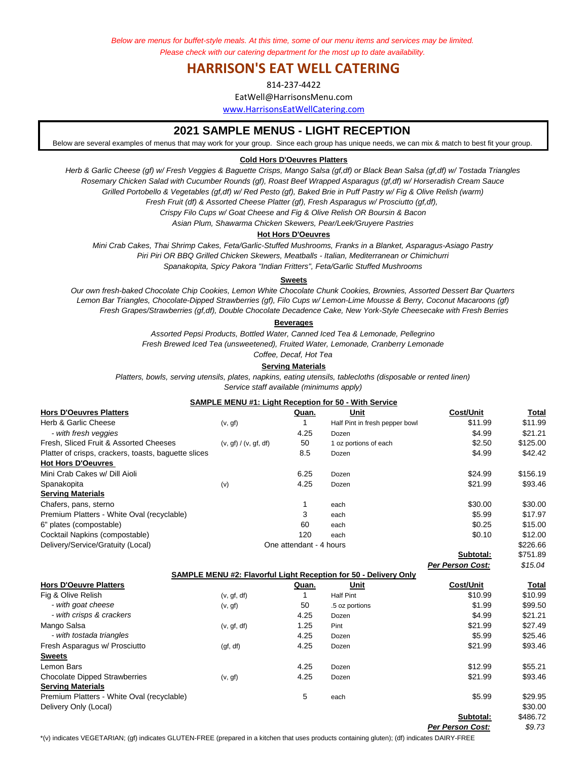*Below are menus for buffet-style meals. At this time, some of our menu items and services may be limited. Please check with our catering department for the most up to date availability.* 

# **HARRISON'S EAT WELL CATERING**

814-237-4422

EatWell@HarrisonsMenu.com

www.HarrisonsEatWellCatering.com

## **2021 SAMPLE MENUS - LIGHT RECEPTION**

Below are several examples of menus that may work for your group. Since each group has unique needs, we can mix & match to best fit your group.

### **Cold Hors D'Oeuvres Platters**

*Rosemary Chicken Salad with Cucumber Rounds (gf), Roast Beef Wrapped Asparagus (gf,df) w/ Horseradish Cream Sauce Herb & Garlic Cheese (gf) w/ Fresh Veggies & Baguette Crisps, Mango Salsa (gf,df) or Black Bean Salsa (gf,df) w/ Tostada Triangles Grilled Portobello & Vegetables (gf,df) w/ Red Pesto (gf), Baked Brie in Puff Pastry w/ Fig & Olive Relish (warm) Fresh Fruit (df) & Assorted Cheese Platter (gf), Fresh Asparagus w/ Prosciutto (gf,df),* 

*Crispy Filo Cups w/ Goat Cheese and Fig & Olive Relish OR Boursin & Bacon*

*Asian Plum, Shawarma Chicken Skewers, Pear/Leek/Gruyere Pastries*

## **Hot Hors D'Oeuvres**

*Mini Crab Cakes, Thai Shrimp Cakes, Feta/Garlic-Stuffed Mushrooms, Franks in a Blanket, Asparagus-Asiago Pastry Piri Piri OR BBQ Grilled Chicken Skewers, Meatballs - Italian, Mediterranean or Chimichurri Spanakopita, Spicy Pakora "Indian Fritters", Feta/Garlic Stuffed Mushrooms*

#### **Sweets**

*Fresh Grapes/Strawberries (gf,df), Double Chocolate Decadence Cake, New York-Style Cheesecake with Fresh Berries Lemon Bar Triangles, Chocolate-Dipped Strawberries (gf), Filo Cups w/ Lemon-Lime Mousse & Berry, Coconut Macaroons (gf) Our own fresh-baked Chocolate Chip Cookies, Lemon White Chocolate Chunk Cookies, Brownies, Assorted Dessert Bar Quarters*

## **Beverages**

*Coffee, Decaf, Hot Tea Assorted Pepsi Products, Bottled Water, Canned Iced Tea & Lemonade, Pellegrino Fresh Brewed Iced Tea (unsweetened), Fruited Water, Lemonade, Cranberry Lemonade*

#### **Serving Materials**

*Service staff available (minimums apply) Platters, bowls, serving utensils, plates, napkins, eating utensils, tablecloths (disposable or rented linen)*

**SAMPLE MENU #1: Light Reception for 50 - With Service**

|                                                      |                         |       | SAMPLE MENU #1: LIGHT Reception for 50 - With Service |                  |          |
|------------------------------------------------------|-------------------------|-------|-------------------------------------------------------|------------------|----------|
| <b>Hors D'Oeuvres Platters</b>                       |                         | Quan. | Unit                                                  | <b>Cost/Unit</b> | Total    |
| Herb & Garlic Cheese                                 | (v, gf)                 |       | Half Pint in fresh pepper bowl                        | \$11.99          | \$11.99  |
| - with fresh veggies                                 |                         | 4.25  | Dozen                                                 | \$4.99           | \$21.21  |
| Fresh, Sliced Fruit & Assorted Cheeses               | (v, gf) / (v, gf, df)   | 50    | 1 oz portions of each                                 | \$2.50           | \$125.00 |
| Platter of crisps, crackers, toasts, baquette slices |                         | 8.5   | Dozen                                                 | \$4.99           | \$42.42  |
| <b>Hot Hors D'Oeuvres</b>                            |                         |       |                                                       |                  |          |
| Mini Crab Cakes w/ Dill Aioli                        |                         | 6.25  | Dozen                                                 | \$24.99          | \$156.19 |
| Spanakopita                                          | (v)                     | 4.25  | Dozen                                                 | \$21.99          | \$93.46  |
| <b>Serving Materials</b>                             |                         |       |                                                       |                  |          |
| Chafers, pans, sterno                                |                         |       | each                                                  | \$30.00          | \$30.00  |
| Premium Platters - White Oval (recyclable)           |                         | 3     | each                                                  | \$5.99           | \$17.97  |
| 6" plates (compostable)                              |                         | 60    | each                                                  | \$0.25           | \$15.00  |
| Cocktail Napkins (compostable)                       |                         | 120   | each                                                  | \$0.10           | \$12.00  |
| Delivery/Service/Gratuity (Local)                    | One attendant - 4 hours |       |                                                       |                  | \$226.66 |
|                                                      |                         |       |                                                       | Subtotal:        | \$751.89 |

|                                            |             |       |                                                                         | - ---- - - ---- -       |          |
|--------------------------------------------|-------------|-------|-------------------------------------------------------------------------|-------------------------|----------|
|                                            |             |       |                                                                         | <b>Per Person Cost:</b> | \$15.04  |
|                                            |             |       | <b>SAMPLE MENU #2: Flavorful Light Reception for 50 - Delivery Only</b> |                         |          |
| <b>Hors D'Oeuvre Platters</b>              |             | Quan. | Unit                                                                    | <b>Cost/Unit</b>        | Total    |
| Fig & Olive Relish                         | (v, gf, df) |       | <b>Half Pint</b>                                                        | \$10.99                 | \$10.99  |
| - with goat cheese                         | (v, gf)     | 50    | .5 oz portions                                                          | \$1.99                  | \$99.50  |
| - with crisps & crackers                   |             | 4.25  | Dozen                                                                   | \$4.99                  | \$21.21  |
| Mango Salsa                                | (v, gf, df) | 1.25  | Pint                                                                    | \$21.99                 | \$27.49  |
| - with tostada triangles                   |             | 4.25  | Dozen                                                                   | \$5.99                  | \$25.46  |
| Fresh Asparagus w/ Prosciutto              | (gf, df)    | 4.25  | Dozen                                                                   | \$21.99                 | \$93.46  |
| <b>Sweets</b>                              |             |       |                                                                         |                         |          |
| Lemon Bars                                 |             | 4.25  | Dozen                                                                   | \$12.99                 | \$55.21  |
| <b>Chocolate Dipped Strawberries</b>       | (v, gf)     | 4.25  | Dozen                                                                   | \$21.99                 | \$93.46  |
| <b>Serving Materials</b>                   |             |       |                                                                         |                         |          |
| Premium Platters - White Oval (recyclable) |             | 5     | each                                                                    | \$5.99                  | \$29.95  |
| Delivery Only (Local)                      |             |       |                                                                         |                         | \$30.00  |
|                                            |             |       |                                                                         | Subtotal:               | \$486.72 |
|                                            |             |       |                                                                         |                         |          |

*Per Person Cost: \$9.73*

\*(v) indicates VEGETARIAN; (gf) indicates GLUTEN-FREE (prepared in a kitchen that uses products containing gluten); (df) indicates DAIRY-FREE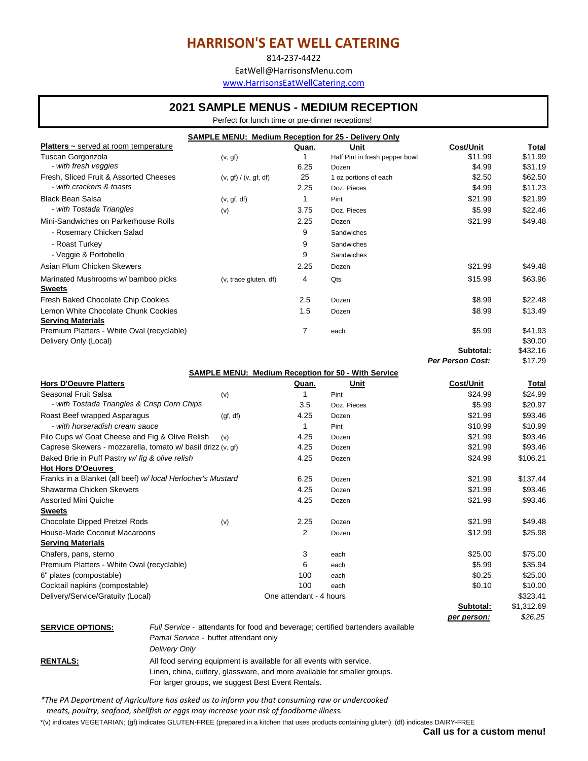# **HARRISON'S EAT WELL CATERING**

814-237-4422

EatWell@HarrisonsMenu.com

www.HarrisonsEatWellCatering.com

## **2021 SAMPLE MENUS - MEDIUM RECEPTION**

**Platters ~** served at room temperature **Quan. Unit Cost/Unit Total** Tuscan Gorgonzola 1 and 1 Half Pint in fresh pepper bowl 511.99 \$11.99 \$11.99 *- with fresh veggies* 6.25 Dozen \$4.99 \$31.19 Fresh, Sliced Fruit & Assorted Cheeses (v, gf) / (v, gf, df) 25 1 oz portions of each \$2.50 \$62.50 \$62.50 *- with crackers & toasts* 2.25 Doz. Pieces \$4.99 \$11.23 Black Bean Salsa (v, gf, df) 1 Pint \$21.99 \$21.99 *- with Tostada Triangles* (v) 3.75 Doz. Pieces \$5.99 \$22.46 Mini-Sandwiches on Parkerhouse Rolls **2.25** Dozen **2.25** Dozen **1998** \$21.99 \$49.48 - Rosemary Chicken Salad 19 November 2012 19 November 2012 19 Sandwiches - Roast Turkey 9 Sandwiches - Veggie & Portobello 8 November 2008 and victor entrance of the Sandwiches Asian Plum Chicken Skewers **2.25** Dozen **1998 549.48 \$21.99** \$49.48 Marinated Mushrooms w/ bamboo picks (v, trace gluten, df) 4 Qts 515.99 \$63.96 \$63.96 **Sweets** Fresh Baked Chocolate Chip Cookies 2.5 Dozen 2.5 Dozen 38.99 \$22.48 Lemon White Chocolate Chunk Cookies 1.5 Dozen 1.5 Dozen 58.99 \$13.49 **Serving Materials** Premium Platters - White Oval (recyclable)  $\overline{7}$  each  $\overline{2}$  each  $\overline{35.99}$  \$41.93 Delivery Only (Local) \$30.00 **Subtotal:** \$432.16 Per Person Cost: \$17.29 **Hors D'Oeuvre Platters Quan. Unit Cost/Unit Total** Seasonal Fruit Salsa (v) (v) 1 Pint 1 Pint \$24.99 \$24.99 \$24.99 *- with Tostada Triangles & Crisp Corn Chips* 3.5 Doz. Pieces \$5.99 \$20.97 Roast Beef wrapped Asparagus (gf, df) and the 4.25 Dozen and the 4.25 Asset S21.99 \$93.46 *i* with horseradish cream sauce the state of the state of the state of the state of the state  $10.99$  \$10.99 \$10.99 Filo Cups w/ Goat Cheese and Fig & Olive Relish (v)  $4.25$  Dozen  $32.46$ Caprese Skewers - mozzarella, tomato w/ basil drizz (v, gf)  $4.25$  Dozen  $32.46$ Perfect for lunch time or pre-dinner receptions! **SAMPLE MENU: Medium Reception for 25 - Delivery Only SAMPLE MENU: Medium Reception for 50 - With Service**

4.25 Dozen \$24.99 \$106.21 **Hot Hors D'Oeuvres**  Franks in a Blanket (all beef) *w/ local Herlocher's Mustard* 6.25 Dozen \$21.99 \$137.44 Shawarma Chicken Skewers **6.25 Exercise 3.46** Access 4.25 Dozen **1.4.25 Dozen** 5.53.46 Assorted Mini Quiche **4.25 Dozen 1.25 Dozen 4.25 Dozen** 4.25 Dozen 4.25 Assorted Mini Quiche 593.46 **Sweets** Chocolate Dipped Pretzel Rods (v) 2.25 Dozen \$21.99 \$49.48 House-Made Coconut Macaroons 2 Dozen \$12.99 \$25.98 **Serving Materials** Chafers, pans, sterno 3 each \$25.00 \$75.00 \$75.00 Premium Platters - White Oval (recyclable)  $\overline{6}$  each  $\overline{35.94}$  \$5.99 \$35.94 6" plates (compostable) 100 each \$0.25 \$25.00 Cocktail napkins (compostable) and the state of the state of the state of the state of the state of the state of the state of the state of the state of the state of the state of the state of the state of the state of the s Delivery/Service/Gratuity (Local) One attendant - 4 hours \$323.41 **Subtotal:** \$1,312.69 *per person: \$26.25* **SERVICE OPTIONS:** *Full Service -* attendants for food and beverage; certified bartenders available Baked Brie in Puff Pastry *w/ fig & olive relish*

*Partial Service -* buffet attendant only *Delivery Only* **RENTALS:** All food serving equipment is available for all events with service. Linen, china, cutlery, glassware, and more available for smaller groups. For larger groups, we suggest Best Event Rentals.

*\*The PA Department of Agriculture has asked us to inform you that consuming raw or undercooked meats, poultry, seafood, shellfish or eggs may increase your risk of foodborne illness.*

\*(v) indicates VEGETARIAN; (gf) indicates GLUTEN-FREE (prepared in a kitchen that uses products containing gluten); (df) indicates DAIRY-FREE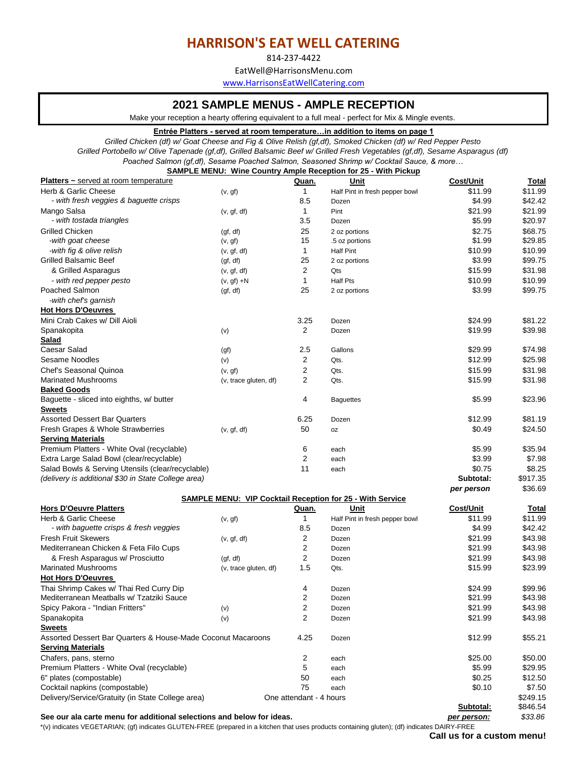# **HARRISON'S EAT WELL CATERING**

814-237-4422

EatWell@HarrisonsMenu.com

www.HarrisonsEatWellCatering.com

## **2021 SAMPLE MENUS - AMPLE RECEPTION**

Make your reception a hearty offering equivalent to a full meal - perfect for Mix & Mingle events.

**Platters ~** served at room temperature **Quan. Unit Cost/Unit Total** Herb & Garlic Cheese  $(v, gf)$  1 Half Pint in fresh pepper bowl \$11.99 \$11.99 \$11.99 *- with fresh veggies & baguette crisps* 8.5 Dozen \$4.99 \$42.42 Mango Salsa (v, gf, df) 1 Pint \$21.99 \$21.99 *- with tostada triangles* 3.5 Dozen \$5.99 \$20.97 Grilled Chicken (gf, df) 25 2 oz portions \$2.75 \$68.75  *-with goat cheese* (v, gf) 15 .5 oz portions \$1.99 \$29.85  *-with fig & olive relish* (v, gf, df) 1 Half Pint \$10.99 \$10.99 Grilled Balsamic Beef **6** 699.75 **(gf, df)** 25 2 oz portions 63.99 \$99.75 & Grilled Asparagus (v, gf, df) 2 Qts \$15.99 \$31.98 *a* with red pepper pesto **by** the state of the state of the state of the state of the state of the state of the state of the state of the state of the state of the state of the state of the state of the state of the state Poached Salmon **1992.75** (gf, df) 25 2 oz portions \$3.99 \$99.75  *-with chef's garnish* **Hot Hors D'Oeuvres**  Mini Crab Cakes w/ Dill Aioli 3.25 Dozen \$24.99 \$81.22 Spanakopita (v) 2 Dozen \$19.99 \$39.98 **Salad**<br>Caesar Salad Caesar Salad (gf) 2.5 Gallons \$29.99 \$74.98 Sesame Noodles (v) 2 Qts. \$12.99 \$25.98 Chef's Seasonal Quinoa (v, gf) 2 Qts. 2 Chef's Seasonal Quinoa \$15.99 \$31.98 Marinated Mushrooms 631.98 (v, trace gluten, df) and the set of the set of the set of the set of the set of the set of the set of the set of the set of the set of the set of the set of the set of the set of the set of the **Baked Goods** Baguette - sliced into eighths, w/ butter  $\frac{4}{4}$  Baguettes  $\frac{55.99}{323.96}$  \$23.96 **Sweets** Assorted Dessert Bar Quarters **6.25** Dozen **6.25 Dozen 6.25 Dozen** \$12.99 \$81.19 Fresh Grapes & Whole Strawberries (v, gf, df) 50 oz 50 oz \$0.49 \$24.50 **Serving Materials** Premium Platters - White Oval (recyclable)  $\overline{6}$  each  $\overline{35.94}$  \$35.94 \$35.94 Extra Large Salad Bowl (clear/recyclable) 2 each \$3.99 \$7.98 Salad Bowls & Serving Utensils (clear/recyclable) 11 each \$0.75 \$8.25 *(delivery is additional \$30 in State College area)* **Subtotal:** \$917.35 *per person* \$36.69 **Hors D'Oeuvre Platters Quan. Unit Cost/Unit Total** Herb & Garlic Cheese  $(v, gf)$  1 Half Pint in fresh pepper bowl \$11.99 \$11.99 \$11.99 *- with baguette crisps & fresh veggies* 8.5 Dozen \$4.99 \$42.42 Fresh Fruit Skewers (v, gf, df) 2 Dozen \$21.99 \$43.98 Mediterranean Chicken & Feta Filo Cups 2 Dozen 2 Dozen 521.99 \$43.98 & Fresh Asparagus w/ Prosciutto (gf, df) 2 Dozen \$21.99 \$43.98 Marinated Mushrooms (v, trace gluten, df) 1.5 Qts. \$15.99 \$23.99 **Hot Hors D'Oeuvres**  Thai Shrimp Cakes w/ Thai Red Curry Dip **All Club Cases According to Accord 4** Dozen **199.96** \$24.99 \$99.96 Mediterranean Meatballs w/ Tzatziki Sauce 2 Dozen \$21.99 \$43.98 Spicy Pakora - "Indian Fritters" (v) 2 Dozen \$21.99 \$43.98 Spanakopita (v) 2 Dozen \$21.99 \$43.98 **Sweets** Assorted Dessert Bar Quarters & House-Made Coconut Macaroons  $4.25$  Dozen  $$12.99$  \$55.21 **Serving Materials** Chafers, pans, sterno 30 and the sterno charge of the sterno charge of the sterno charge of the sterno charge of the sterno  $\sim$  2 and  $\sim$  2 and  $\sim$  50.00 \$50.00 \$50.00 \$50.00 \$50.00 \$50.00 \$50.00 \$50.00 \$50.00 \$50.00 \$5 Premium Platters - White Oval (recyclable)  $\overline{5}$  each  $\overline{5}$  each  $\overline{5}$  5.99 \$29.95 6" plates (compostable) 50 each \$0.25 \$12.50 Cocktail napkins (compostable) and the state of the state of the state of the state of the state of the state of the state of the state of the state of the state of the state of the state of the state of the state of the s Delivery/Service/Gratuity (in State College area) One attendant - 4 hours \$249.15 **Subtotal:** \$846.54 **SAMPLE MENU: Wine Country Ample Reception for 25 - With Pickup Entrée Platters - served at room temperature…in addition to items on page 1** *Grilled Chicken (df) w/ Goat Cheese and Fig & Olive Relish (gf,df), Smoked Chicken (df) w/ Red Pepper Pesto* **SAMPLE MENU: VIP Cocktail Reception for 25 - With Service** *Poached Salmon (gf,df), Sesame Poached Salmon, Seasoned Shrimp w/ Cocktail Sauce, & more… Grilled Portobello w/ Olive Tapenade (gf,df), Grilled Balsamic Beef w/ Grilled Fresh Vegetables (gf,df), Sesame Asparagus (df)*

**See our ala carte menu for additional selections and below for ideas.** *per person:**\$33.86* 

\*(v) indicates VEGETARIAN; (gf) indicates GLUTEN-FREE (prepared in a kitchen that uses products containing gluten); (df) indicates DAIRY-FREE